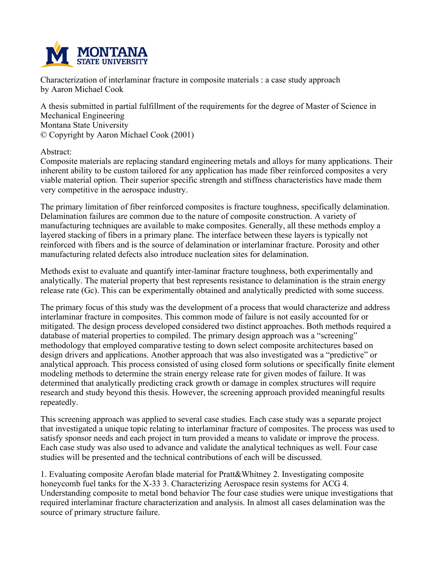

**Characterization of interlaminar fracture in composite materials : a case study approach by Aaron Michael Cook**

**A thesis submitted in partial fulfillment of the requirements for the degree of Master of Science in Mechanical Engineering Montana State University © Copyright by Aaron Michael Cook (2001)**

**Abstract:**

**Composite materials are replacing standard engineering metals and alloys for many applications. Their inherent ability to be custom tailored for any application has made fiber reinforced composites a very viable material option. Their superior specific strength and stiffness characteristics have made them very competitive in the aerospace industry.**

**The primary limitation of fiber reinforced composites is fracture toughness, specifically delamination. Delamination failures are common due to the nature of composite construction. A variety of manufacturing techniques are available to make composites. Generally, all these methods employ a layered stacking of fibers in a primary plane. The interface between these layers is typically not reinforced with fibers and is the source of delamination or interlaminar fracture. Porosity and other manufacturing related defects also introduce nucleation sites for delamination.**

**Methods exist to evaluate and quantify inter-laminar fracture toughness, both experimentally and analytically. The material property that best represents resistance to delamination is the strain energy release rate (Gc). This can be experimentally obtained and analytically predicted with some success.**

**The primary focus of this study was the development of a process that would characterize and address interlaminar fracture in composites. This common mode of failure is not easily accounted for or mitigated. The design process developed considered two distinct approaches. Both methods required a database of material properties to compiled. The primary design approach was a "screening" methodology that employed comparative testing to down select composite architectures based on design drivers and applications. Another approach that was also investigated was a "predictive" or analytical approach. This process consisted of using closed form solutions or specifically finite element modeling methods to determine the strain energy release rate for given modes of failure. It was determined that analytically predicting crack growth or damage in complex structures will require research and study beyond this thesis. However, the screening approach provided meaningful results repeatedly.**

**This screening approach was applied to several case studies. Each case study was a separate project that investigated a unique topic relating to interlaminar fracture of composites. The process was used to satisfy sponsor needs and each project in turn provided a means to validate or improve the process. Each case study was also used to advance and validate the analytical techniques as well. Four case studies will be presented and the technical contributions of each will be discussed.**

**1. Evaluating composite Aerofan blade material for Pratt&Whitney 2. Investigating composite honeycomb fuel tanks for the X-33 3. Characterizing Aerospace resin systems for ACG 4. Understanding composite to metal bond behavior The four case studies were unique investigations that required interlaminar fracture characterization and analysis. In almost all cases delamination was the source of primary structure failure.**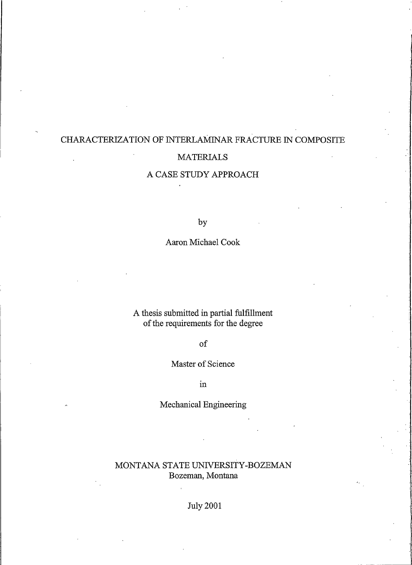## CHARACTERIZATION OF INTERLAMINAR FRACTURE IN COMPOSITE **MATERIALS**

## A CASE STUDY APPROACH

by

Aaron Michael Cook

A thesis submitted in partial fulfillment of the requirements for the degree

 $of$ 

## Master of Science

 $in$ 

Mechanical Engineering

## MONTANA STATE UNIVERSITY-BOZEMAN Bozeman, Montana

**July 2001**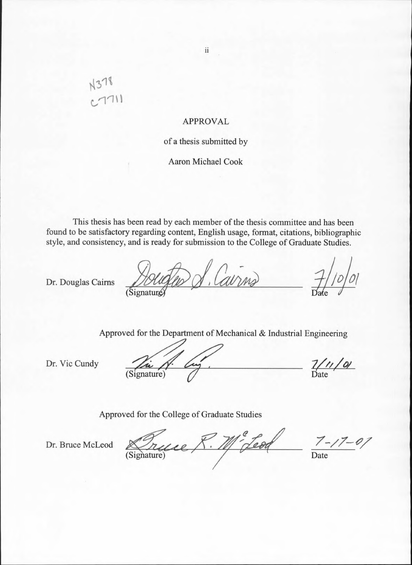# N378

## **APPROVAL**

## of a thesis submitted by

## **Aaron Michael Cook**

This thesis has been read by each member of the thesis committee and has been found to be satisfactory regarding content, English usage, format, citations, bibliographic style, and consistency, and is ready for submission to the College of Graduate Studies.

Dr. Douglas Cairns

Cavris

Approved for the Department of Mechanical & Industrial Engineering

Dr. Vic Cundy

(Signature)

 $\frac{7}{4}$ 

Approved for the College of Graduate Studies

11° Leod Signature)  $7 - 17 - 01$ 

Dr. Bruce McLeod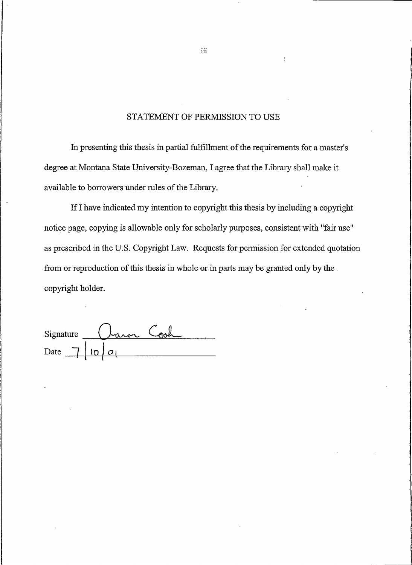## STATEMENT OF PERMISSION TO USE

In presenting this thesis in partial fulfillment of the requirements for a master's degree at Montana State University-Bozeman, I agree that the Library shall make it available to borrowers under rules of the Library.

If I have indicated my intention to copyright this thesis by including a copyright notice page, copying is allowable only for scholarly purposes, consistent with "fair use" as prescribed in the U.S. Copyright Law. Requests for permission for extended quotation from or reproduction of this thesis in whole or in parts may be granted only by the. copyright holder.

on Cook Signature Date

 $\rm iii$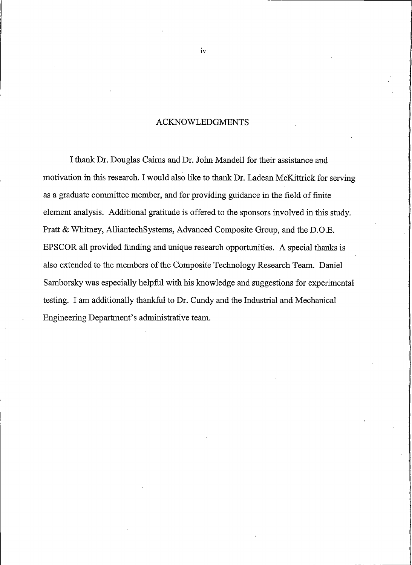## **ACKNOWLEDGMENTS**

I thank Dr. Douglas Cairns and Dr. John Mandell for their assistance and motivation in this research. I would also like to thank Dr. Ladean McKittrick for serving as a graduate committee member, and for providing guidance in the field of finite element analysis. Additional gratitude is offered to the sponsors involved in this study. Pratt & Whitney, AlliantechSystems, Advanced Composite Group, and the D.O.E. EPSCOR all provided funding and unique research opportunities. A special thanks is also extended to the members of the Composite Technology Research Team. Daniel Samborsky was especially helpful with his knowledge and suggestions for experimental testing. I am additionally thankful to Dr. Cundy and the Industrial and Mechanical Engineering Department's administrative team.

iv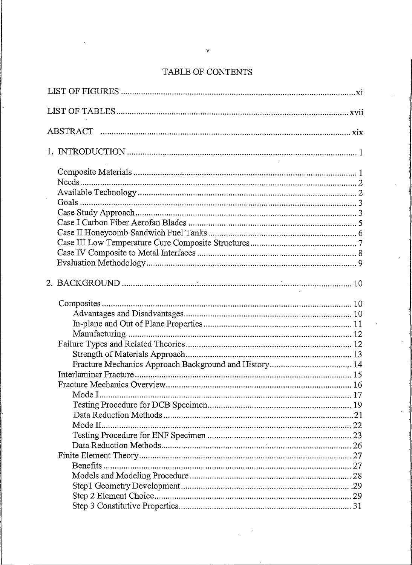## $\rm {TABLE~OF}$  (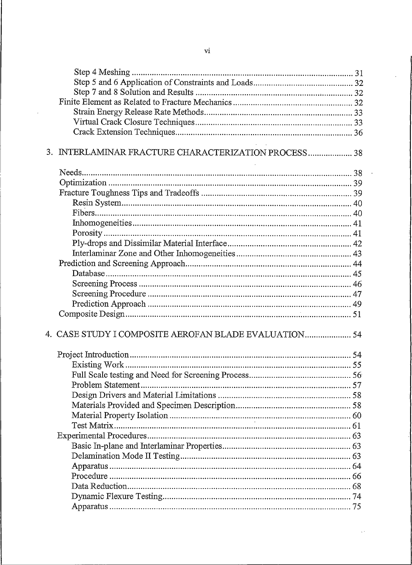| 3. INTERLAMINAR FRACTURE CHARACTERIZATION PROCESS 38  |  |
|-------------------------------------------------------|--|
|                                                       |  |
|                                                       |  |
|                                                       |  |
|                                                       |  |
|                                                       |  |
|                                                       |  |
|                                                       |  |
|                                                       |  |
|                                                       |  |
|                                                       |  |
|                                                       |  |
|                                                       |  |
|                                                       |  |
|                                                       |  |
|                                                       |  |
|                                                       |  |
| 4. CASE STUDY I COMPOSITE AEROFAN BLADE EVALUATION 54 |  |
|                                                       |  |
|                                                       |  |
|                                                       |  |
|                                                       |  |
|                                                       |  |
|                                                       |  |
|                                                       |  |
|                                                       |  |
|                                                       |  |
|                                                       |  |
|                                                       |  |
|                                                       |  |
|                                                       |  |
|                                                       |  |
|                                                       |  |
|                                                       |  |
|                                                       |  |

 $\overline{\phantom{a}}$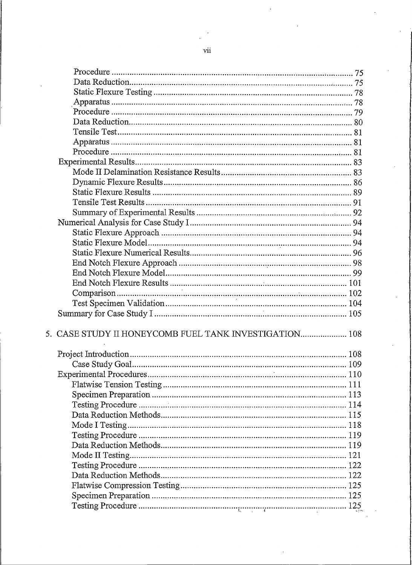| 5. CASE STUDY II HONEYCOMB FUEL TANK INVESTIGATION 108 |  |
|--------------------------------------------------------|--|
|                                                        |  |
|                                                        |  |
|                                                        |  |
|                                                        |  |
|                                                        |  |
|                                                        |  |
|                                                        |  |
|                                                        |  |
|                                                        |  |
|                                                        |  |
|                                                        |  |
|                                                        |  |
|                                                        |  |
|                                                        |  |
|                                                        |  |
|                                                        |  |
|                                                        |  |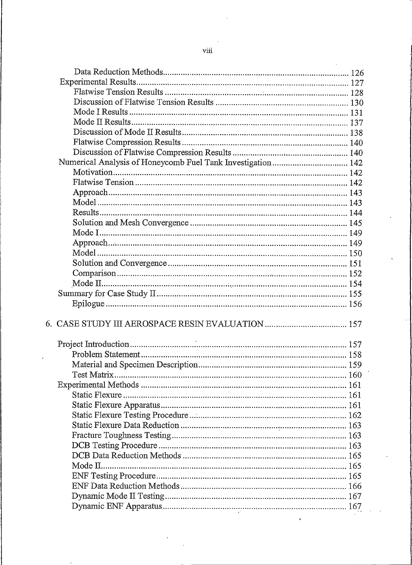| Numerical Analysis of Honeycomb Fuel Tank Investigation 142 |  |
|-------------------------------------------------------------|--|
|                                                             |  |
|                                                             |  |
|                                                             |  |
|                                                             |  |
|                                                             |  |
|                                                             |  |
|                                                             |  |
|                                                             |  |
|                                                             |  |
|                                                             |  |
|                                                             |  |
|                                                             |  |
|                                                             |  |
|                                                             |  |
|                                                             |  |
|                                                             |  |
|                                                             |  |
|                                                             |  |
|                                                             |  |
|                                                             |  |
|                                                             |  |
|                                                             |  |
|                                                             |  |
|                                                             |  |
|                                                             |  |
|                                                             |  |
|                                                             |  |
|                                                             |  |
|                                                             |  |
|                                                             |  |
|                                                             |  |
|                                                             |  |
|                                                             |  |
|                                                             |  |
|                                                             |  |
|                                                             |  |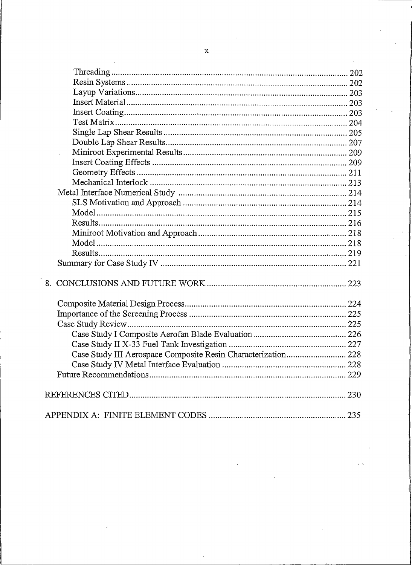| Case Study III Aerospace Composite Resin Characterization 228 |  |
|---------------------------------------------------------------|--|
|                                                               |  |
|                                                               |  |
|                                                               |  |
|                                                               |  |
|                                                               |  |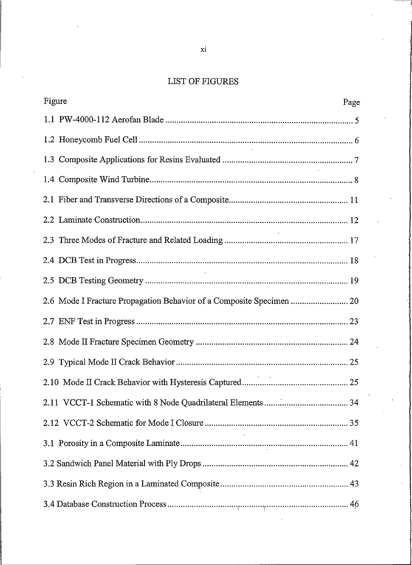## LIST OF FIGURES

| Figure                                                               | Page |
|----------------------------------------------------------------------|------|
|                                                                      |      |
|                                                                      |      |
|                                                                      |      |
|                                                                      |      |
|                                                                      |      |
|                                                                      |      |
|                                                                      |      |
|                                                                      |      |
|                                                                      |      |
| 2.6 Mode I Fracture Propagation Behavior of a Composite Specimen  20 |      |
|                                                                      |      |
|                                                                      |      |
|                                                                      |      |
|                                                                      |      |
|                                                                      |      |
|                                                                      |      |
|                                                                      |      |
|                                                                      |      |
|                                                                      |      |
|                                                                      |      |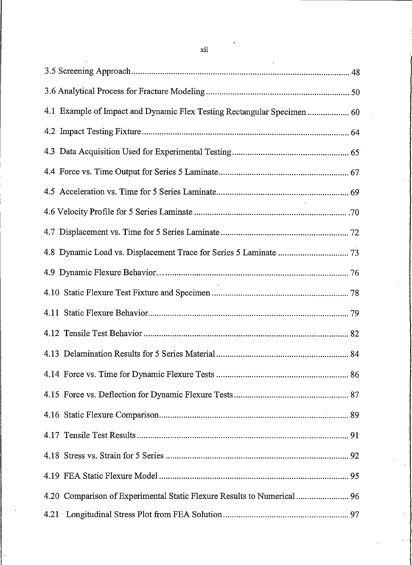|      | 4.1 Example of Impact and Dynamic Flex Testing Rectangular Specimen  60 |  |
|------|-------------------------------------------------------------------------|--|
|      |                                                                         |  |
|      |                                                                         |  |
|      |                                                                         |  |
|      |                                                                         |  |
|      |                                                                         |  |
|      |                                                                         |  |
|      |                                                                         |  |
|      |                                                                         |  |
|      |                                                                         |  |
|      |                                                                         |  |
|      |                                                                         |  |
|      |                                                                         |  |
|      |                                                                         |  |
|      |                                                                         |  |
|      |                                                                         |  |
|      |                                                                         |  |
|      |                                                                         |  |
|      |                                                                         |  |
|      | 4.20 Comparison of Experimental Static Flexure Results to Numerical  96 |  |
| 4.21 |                                                                         |  |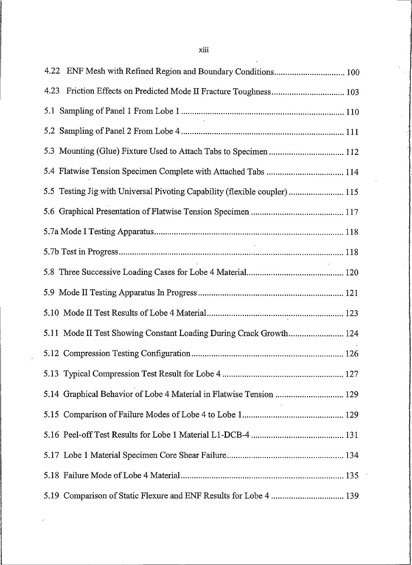| 4.23 Friction Effects on Predicted Mode II Fracture Toughness 103          |
|----------------------------------------------------------------------------|
|                                                                            |
|                                                                            |
| 5.3 Mounting (Glue) Fixture Used to Attach Tabs to Specimen  112           |
| 5.4 Flatwise Tension Specimen Complete with Attached Tabs  114             |
| 5.5 Testing Jig with Universal Pivoting Capability (flexible coupler)  115 |
|                                                                            |
|                                                                            |
|                                                                            |
|                                                                            |
|                                                                            |
|                                                                            |
| 5.11 Mode II Test Showing Constant Loading During Crack Growth 124         |
|                                                                            |
|                                                                            |
| 5.14 Graphical Behavior of Lobe 4 Material in Flatwise Tension  129        |
|                                                                            |
|                                                                            |
|                                                                            |
|                                                                            |
| 5.19 Comparison of Static Flexure and ENF Results for Lobe 4  139          |

 $\overline{a}$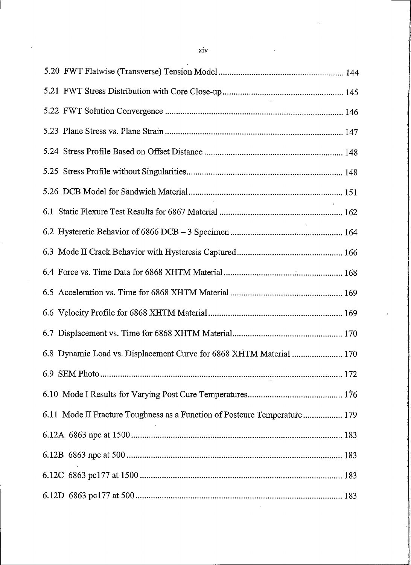| 6.8 Dynamic Load vs. Displacement Curve for 6868 XHTM Material  170       |  |
|---------------------------------------------------------------------------|--|
|                                                                           |  |
|                                                                           |  |
| 6.11 Mode II Fracture Toughness as a Function of Postcure Temperature 179 |  |
|                                                                           |  |
|                                                                           |  |
|                                                                           |  |
|                                                                           |  |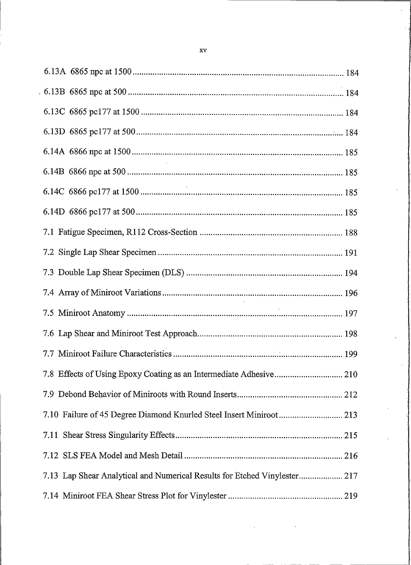| 7.10 Failure of 45 Degree Diamond Knurled Steel Insert Miniroot 213       |  |
|---------------------------------------------------------------------------|--|
| 7.11                                                                      |  |
|                                                                           |  |
| 7.13 Lap Shear Analytical and Numerical Results for Etched Vinylester 217 |  |
|                                                                           |  |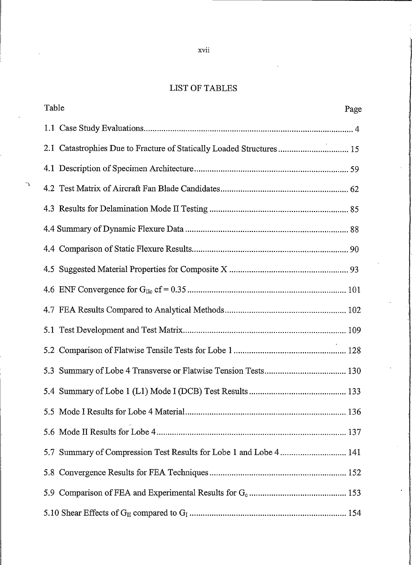## LIST OF TABLES

| Table                                                                   | Page |
|-------------------------------------------------------------------------|------|
|                                                                         |      |
| Catastrophies Due to Fracture of Statically Loaded Structures 15<br>2.1 |      |
|                                                                         |      |
| 4.2                                                                     |      |
|                                                                         |      |
|                                                                         |      |
| 4.4                                                                     |      |
|                                                                         |      |
|                                                                         |      |
|                                                                         |      |
|                                                                         |      |
| 5.2                                                                     |      |
|                                                                         |      |
|                                                                         |      |
|                                                                         |      |
|                                                                         |      |
| 5.7 Summary of Compression Test Results for Lobe 1 and Lobe 4 141       |      |
| 5.8                                                                     |      |
| 5.9                                                                     |      |
|                                                                         |      |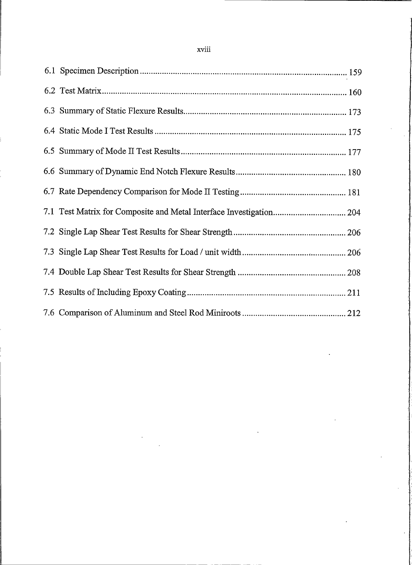| 7.1 Test Matrix for Composite and Metal Interface Investigation 204 |  |
|---------------------------------------------------------------------|--|
|                                                                     |  |
|                                                                     |  |
|                                                                     |  |
|                                                                     |  |
|                                                                     |  |

## xviii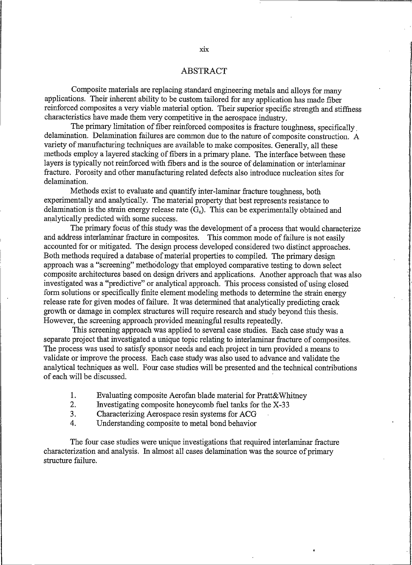### **ABSTRACT**

Composite materials are replacing standard engineering metals and alloys for many applications. Their inherent ability to be custom tailored for any application has made fiber reinforced composites a very viable material option. Their superior specific strength and stiffness characteristics have made them very competitive in the aerospace industry.

The primary limitation of fiber reinforced composites is fracture toughness, specifically delamination. Delamination failures are common due to the nature of composite construction. A variety of manufacturing techniques are available to make composites. Generally, all these methods employ a layered stacking of fibers in a primary plane. The interface between these layers is typically not reinforced with fibers and is the source of delamination or interlaminar fracture. Porosity and other manufacturing related defects also introduce nucleation sites for delamination.

Methods exist to evaluate and quantify inter-laminar fracture toughness, both experimentally and analytically. The material property that best represents resistance to delamination is the strain energy release rate  $(G_c)$ . This can be experimentally obtained and analytically predicted with some success.

The primary focus of this study was the development of a process that would characterize and address interlaminar fracture in composites. This common mode of failure is not easily accounted for or mitigated. The design process developed considered two distinct approaches. Both methods required a database of material properties to compiled. The primary design approach was a "screening" methodology that employed comparative testing to down select composite architectures based on design drivers and applications. Another approach that was also investigated was a "predictive" or analytical approach. This process consisted of using closed form solutions or specifically finite element modeling methods to determine the strain energy release rate for given modes of failure. It was determined that analytically predicting crack growth or damage in complex structures will require research and study beyond this thesis. However, the screening approach provided meaningful results repeatedly.

This screening approach was applied to several case studies. Each case study was a separate project that investigated a unique topic relating to interlaminar fracture of composites. The process was used to satisfy sponsor needs and each project in turn provided a means to validate or improve the process. Each case study was also used to advance and validate the analytical techniques as well. Four case studies will be presented and the technical contributions of each will be discussed.

- $1<sub>1</sub>$ Evaluating composite Aerofan blade material for Pratt&Whitney
- $\overline{2}$ . Investigating composite honeycomb fuel tanks for the X-33
- $3<sub>1</sub>$ Characterizing Aerospace resin systems for ACG
- Understanding composite to metal bond behavior 4.

The four case studies were unique investigations that required interlaminar fracture characterization and analysis. In almost all cases delamination was the source of primary structure failure.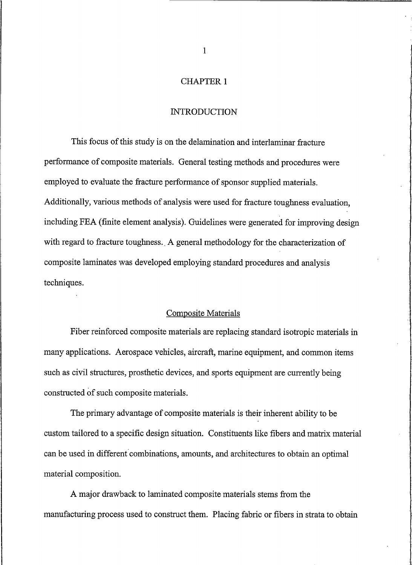### **CHAPTER 1**

### **INTRODUCTION**

This focus of this study is on the delamination and interlaminar fracture performance of composite materials. General testing methods and procedures were employed to evaluate the fracture performance of sponsor supplied materials. Additionally, various methods of analysis were used for fracture toughness evaluation, including FEA (finite element analysis). Guidelines were generated for improving design with regard to fracture toughness. A general methodology for the characterization of composite laminates was developed employing standard procedures and analysis techniques.

### **Composite Materials**

Fiber reinforced composite materials are replacing standard isotropic materials in many applications. Aerospace vehicles, aircraft, marine equipment, and common items such as civil structures, prosthetic devices, and sports equipment are currently being constructed of such composite materials.

The primary advantage of composite materials is their inherent ability to be custom tailored to a specific design situation. Constituents like fibers and matrix material can be used in different combinations, amounts, and architectures to obtain an optimal material composition.

A major drawback to laminated composite materials stems from the manufacturing process used to construct them. Placing fabric or fibers in strata to obtain

 $\mathbf{1}$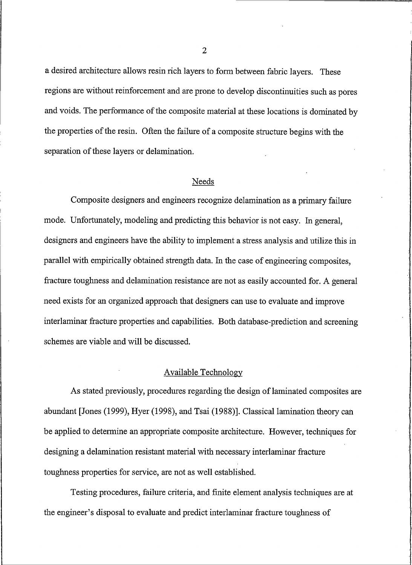a desired architecture allows resin rich layers to form between fabric layers. These regions are without reinforcement and are prone to develop discontinuities such as pores and voids. The performance of the composite material at these locations is dominated by the properties of the resin. Often the failure of a composite structure begins with the separation of these layers or delamination.

## Needs

Composite designers and engineers recognize delamination as a primary failure mode. Unfortunately, modeling and predicting this behavior is not easy. In general, designers and engineers have the ability to implement a stress analysis and utilize this in parallel with empirically obtained strength data. In the case of engineering composites, fracture toughness and delamination resistance are not as easily accounted for. A general need exists for an organized approach that designers can use to evaluate and improve interlaminar fracture properties and capabilities. Both database-prediction and screening schemes are viable and will be discussed.

## Available Technology

As stated previously, procedures regarding the design of laminated composites are abundant [Jones (1999), Hyer (1998), and Tsai (1988)]. Classical lamination theory can be applied to determine an appropriate composite architecture. However, techniques for designing a delamination resistant material with necessary interlaminar fracture toughness properties for service, are not as well established.

Testing procedures, failure criteria, and finite element analysis techniques are at the engineer's disposal to evaluate and predict interlaminar fracture toughness of

 $\overline{2}$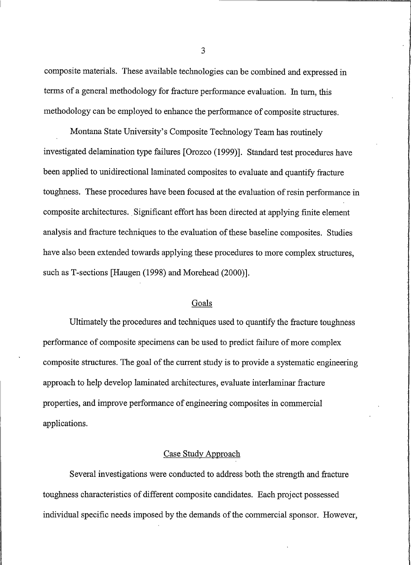composite materials. These available technologies can be combined and expressed in terms of a general methodology for fracture performance evaluation. In turn, this methodology can be employed to enhance the performance of composite structures.

Montana State University's Composite Technology Team has routinely investigated delamination type failures [Orozco (1999)]. Standard test procedures have been applied to unidirectional laminated composites to evaluate and quantify fracture toughness. These procedures have been focused at the evaluation of resin performance in composite architectures. Significant effort has been directed at applying finite element analysis and fracture techniques to the evaluation of these baseline composites. Studies have also been extended towards applying these procedures to more complex structures, such as T-sections [Haugen (1998) and Morehead (2000)].

### Goals

Ultimately the procedures and techniques used to quantify the fracture toughness performance of composite specimens can be used to predict failure of more complex composite structures. The goal of the current study is to provide a systematic engineering approach to help develop laminated architectures, evaluate interlaminar fracture properties, and improve performance of engineering composites in commercial applications.

#### **Case Study Approach**

Several investigations were conducted to address both the strength and fracture toughness characteristics of different composite candidates. Each project possessed individual specific needs imposed by the demands of the commercial sponsor. However,

3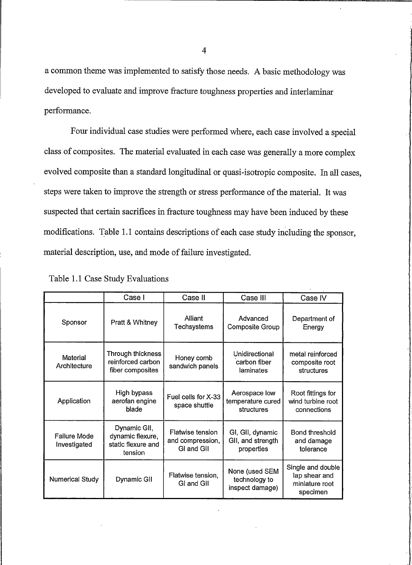a common theme was implemented to satisfy those needs. A basic methodology was developed to evaluate and improve fracture toughness properties and interlaminar performance.

Four individual case studies were performed where, each case involved a special class of composites. The material evaluated in each case was generally a more complex evolved composite than a standard longitudinal or quasi-isotropic composite. In all cases, steps were taken to improve the strength or stress performance of the material. It was suspected that certain sacrifices in fracture toughness may have been induced by these modifications. Table 1.1 contains descriptions of each case study including the sponsor, material description, use, and mode of failure investigated.

|                              | Case I                                                            | Case II                                            | Case III                                            | Case IV                                                          |
|------------------------------|-------------------------------------------------------------------|----------------------------------------------------|-----------------------------------------------------|------------------------------------------------------------------|
| Sponsor                      | Pratt & Whitney                                                   | Alliant<br>Techsystems                             | Advanced<br>Composite Group                         | Department of<br>Energy                                          |
| Material<br>Architecture     | Through thickness<br>reinforced carbon<br>fiber composites        | Honey comb<br>sandwich panels                      | Unidirectional<br>carbon fiber<br>laminates         | metal reinforced<br>composite root<br>structures                 |
| Application                  | High bypass<br>aerofan engine<br>blade                            | Fuel cells for X-33<br>space shuttle               | Aerospace low<br>temperature cured<br>structures    | Root fittings for<br>wind turbine root<br>connections            |
| Failure Mode<br>Investigated | Dynamic GII,<br>dynamic flexure,<br>static flexure and<br>tension | Flatwise tension<br>and compression,<br>GI and GII | GI, GII, dynamic<br>GII, and strength<br>properties | Bond threshold<br>and damage<br>tolerance                        |
| Numerical Study              | Dynamic GII                                                       | Flatwise tension.<br>GI and GII                    | None (used SEM<br>technology to<br>inspect damage)  | Single and double<br>lap shear and<br>miniature root<br>specimen |

Table 1.1 Case Study Evaluations

 $\overline{4}$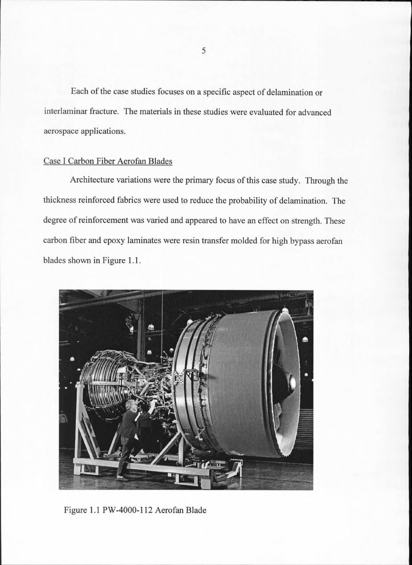Each of the case studies focuses on a specific aspect of delamination or interlaminar fracture. The materials in these studies were evaluated for advanced aerospace applications.

## Case I Carbon Fiber Aerofan Blades

Architecture variations were the primary focus of this case study. Through the thickness reinforced fabrics were used to reduce the probability of delamination. The degree of reinforcement was varied and appeared to have an effect on strength. These carbon fiber and epoxy laminates were resin transfer molded for high bypass aerofan blades shown in Figure 1.1.



Figure 1.1 PW-4000-112 Aerofan Blade